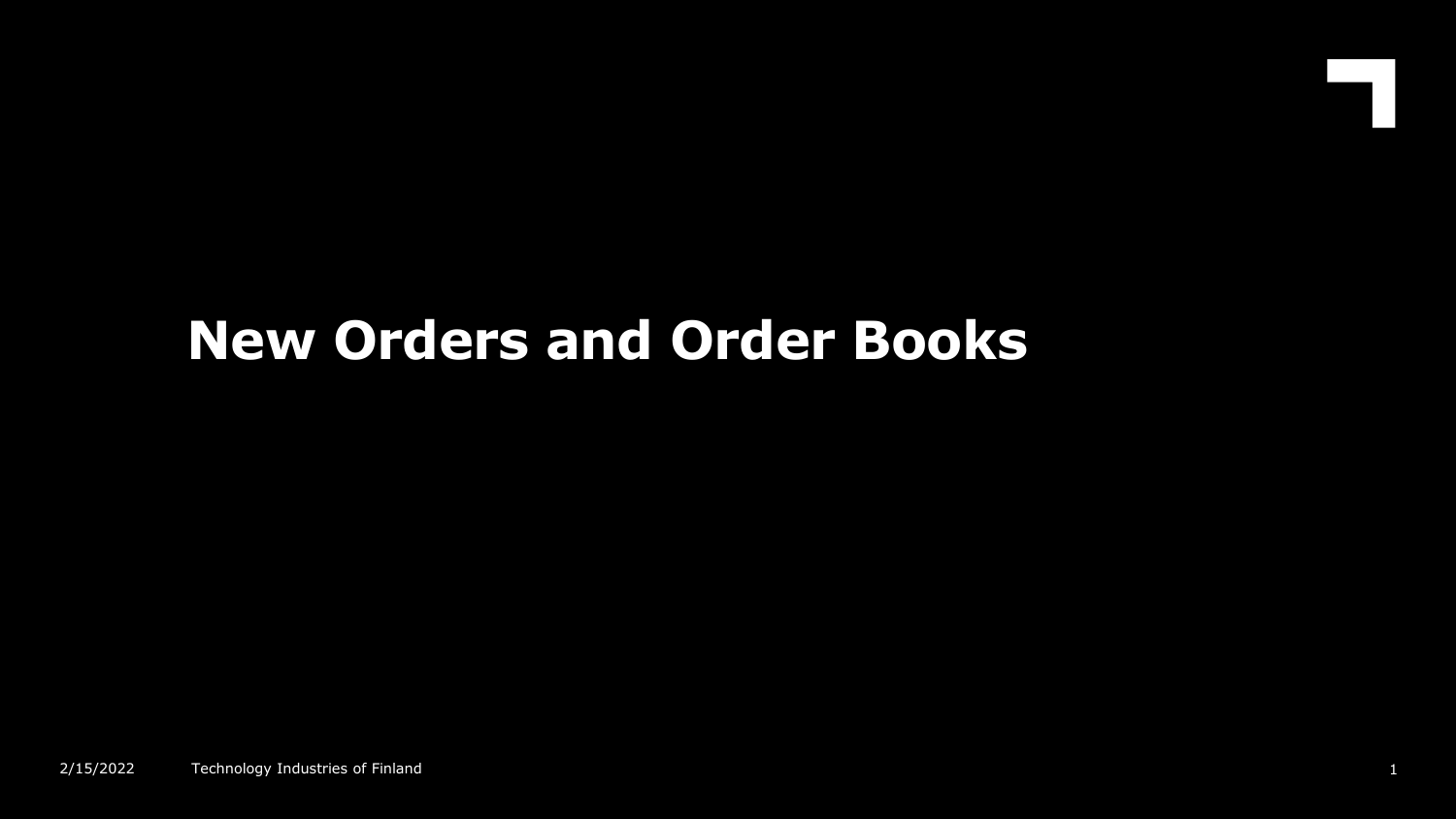# **New Orders and Order Books**

 $\blacksquare$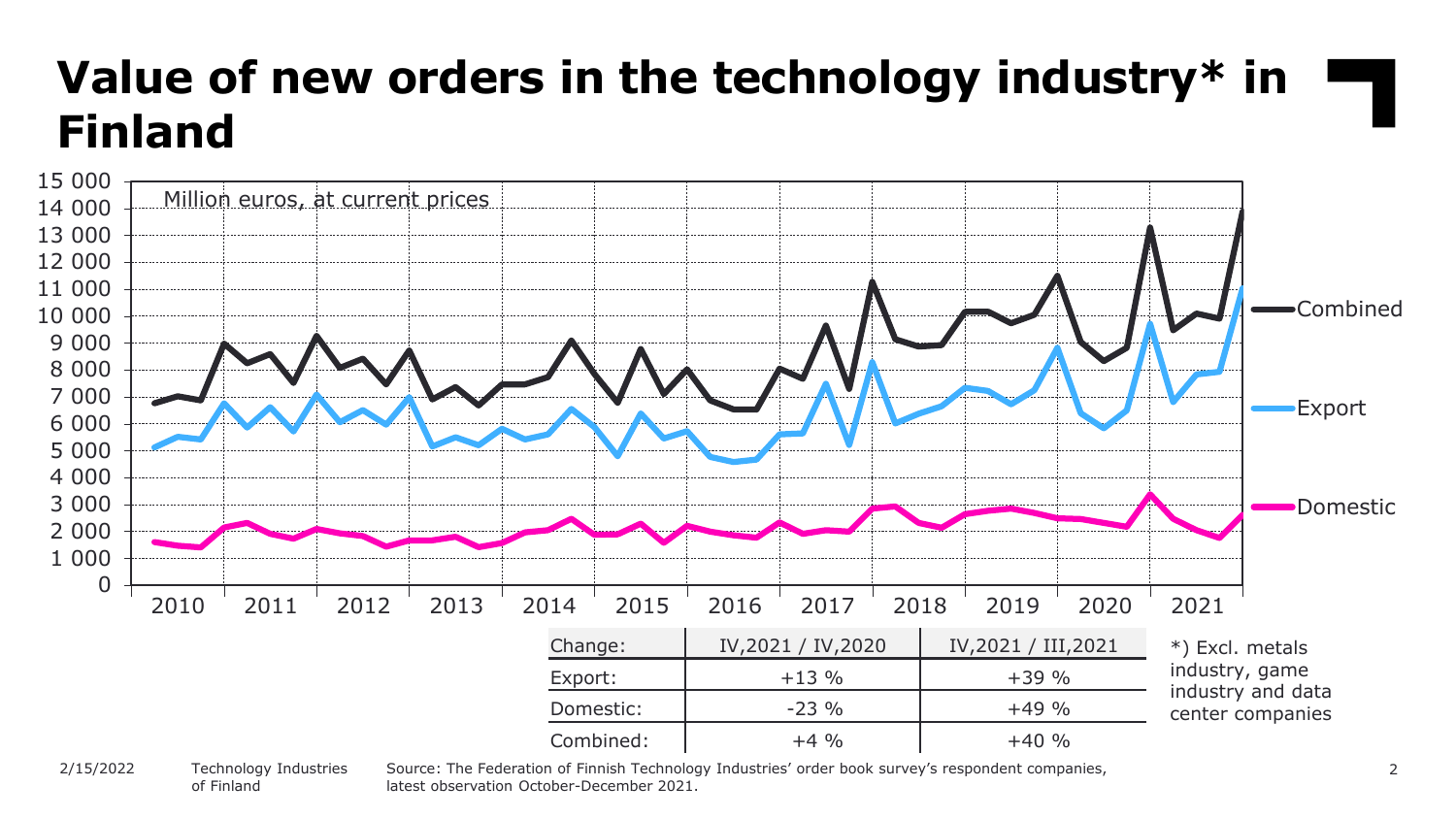#### **Value of new orders in the technology industry\* in Finland** 0 1 000 2 000 3 000 4 000 5 000 6 000 7 000 8 000 9 000 10 000 11 000 12 000 13 000 14 000 15 000 Combined Export Domestic Million euros, at current prices Change: | IV,2021 / IV,2020 | IV,2021 / III,2021 Export:  $+13\%$   $+39\%$ Domestic:  $\frac{1}{23 \%}$  -23 % +49 % Combined:  $+4\%$   $+4\%$   $+40\%$ \*) Excl. metals industry, game industry and data center companies 2010 2011 2012 2013 2014 2015 2016 2017 2018 2019 2020 2021

Technology Industries of Finland 2/15/2022

Source: The Federation of Finnish Technology Industries' order book survey's respondent companies, 2 latest observation October-December 2021.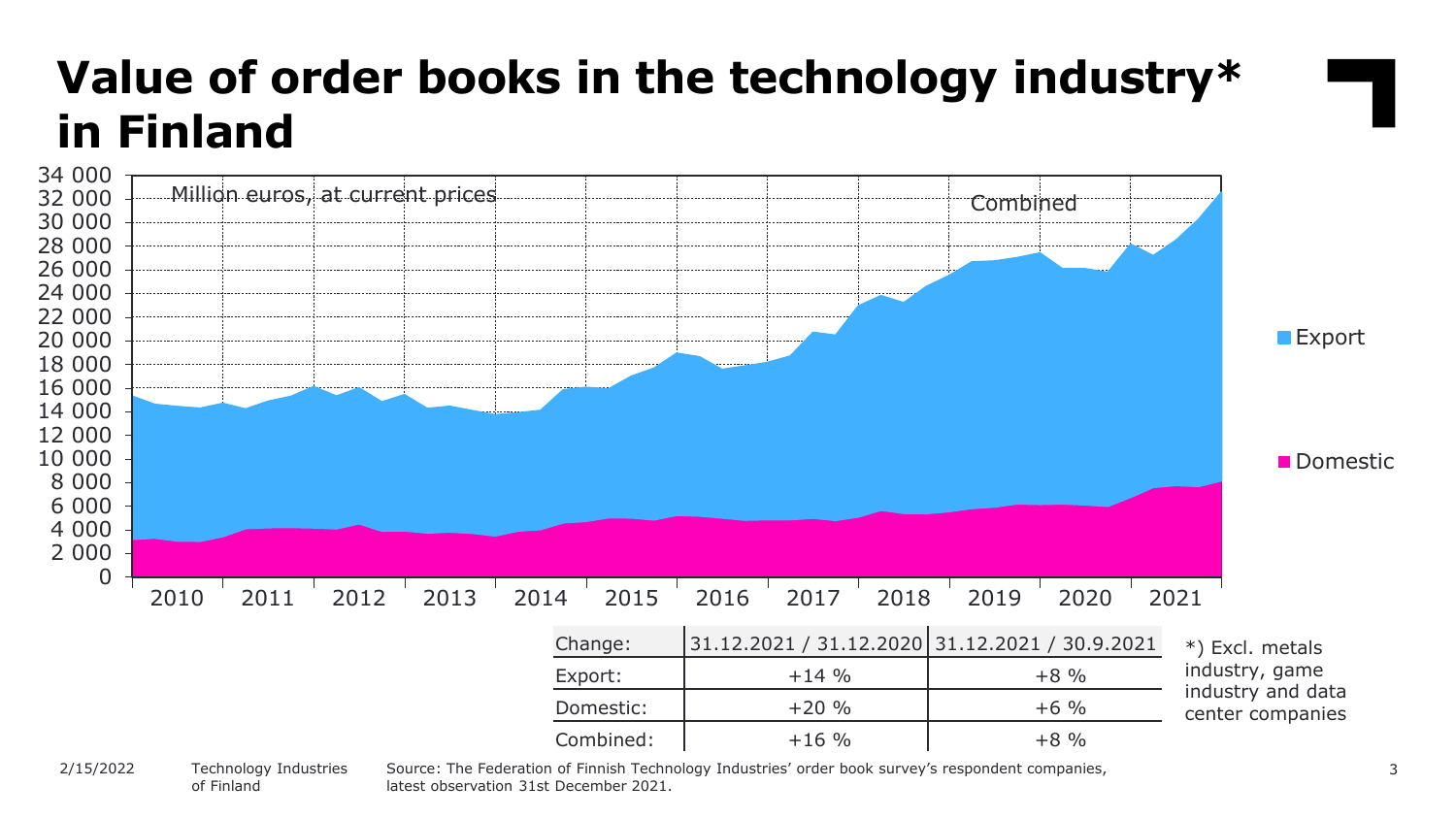

of Finland

latest observation 31st December 2021.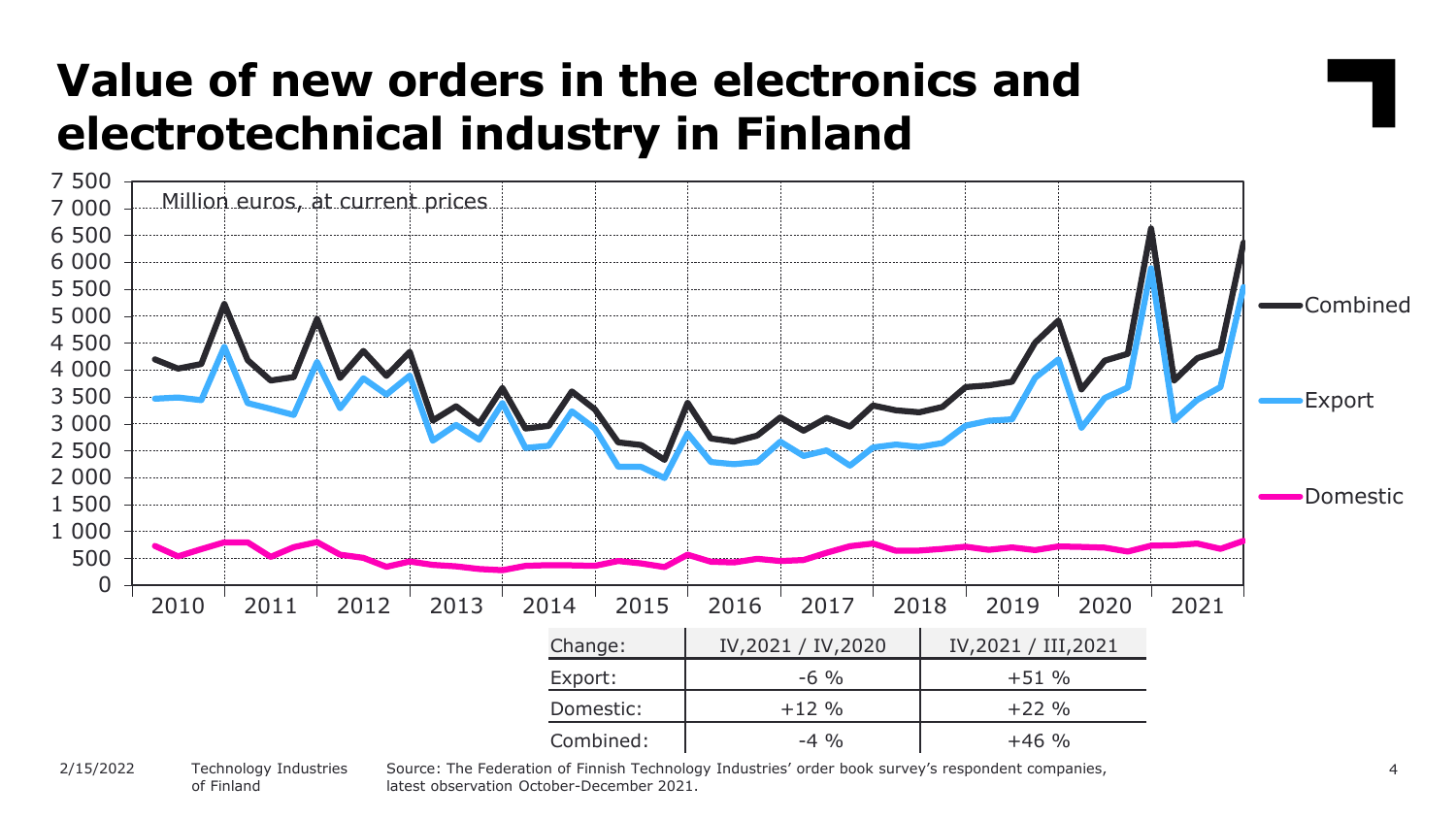#### **Value of new orders in the electronics and electrotechnical industry in Finland**



Technology Industries of Finland 2/15/2022

Source: The Federation of Finnish Technology Industries' order book survey's respondent companies, latest observation October-December 2021.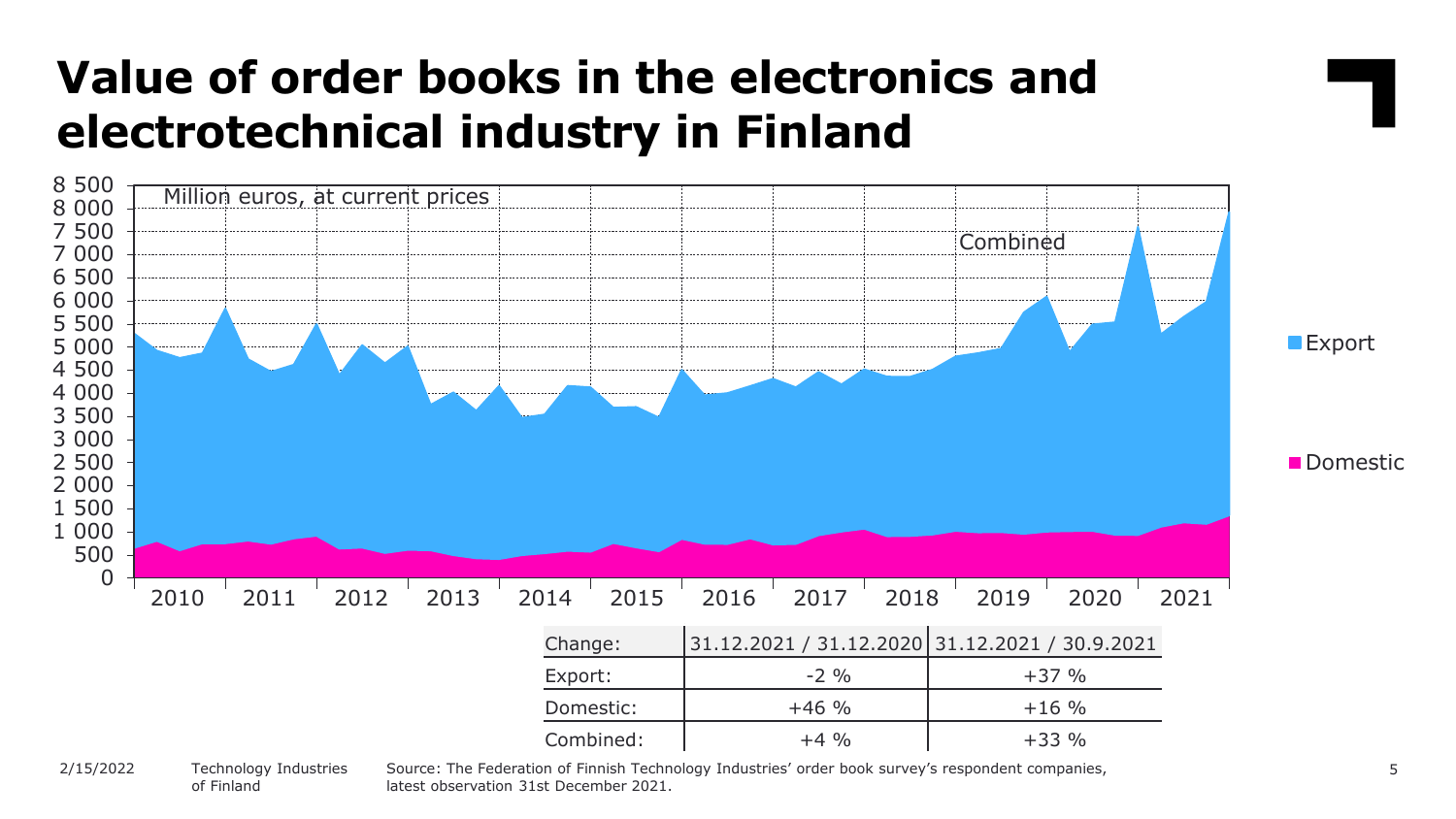#### **Value of order books in the electronics and electrotechnical industry in Finland**



of Finland

latest observation 31st December 2021.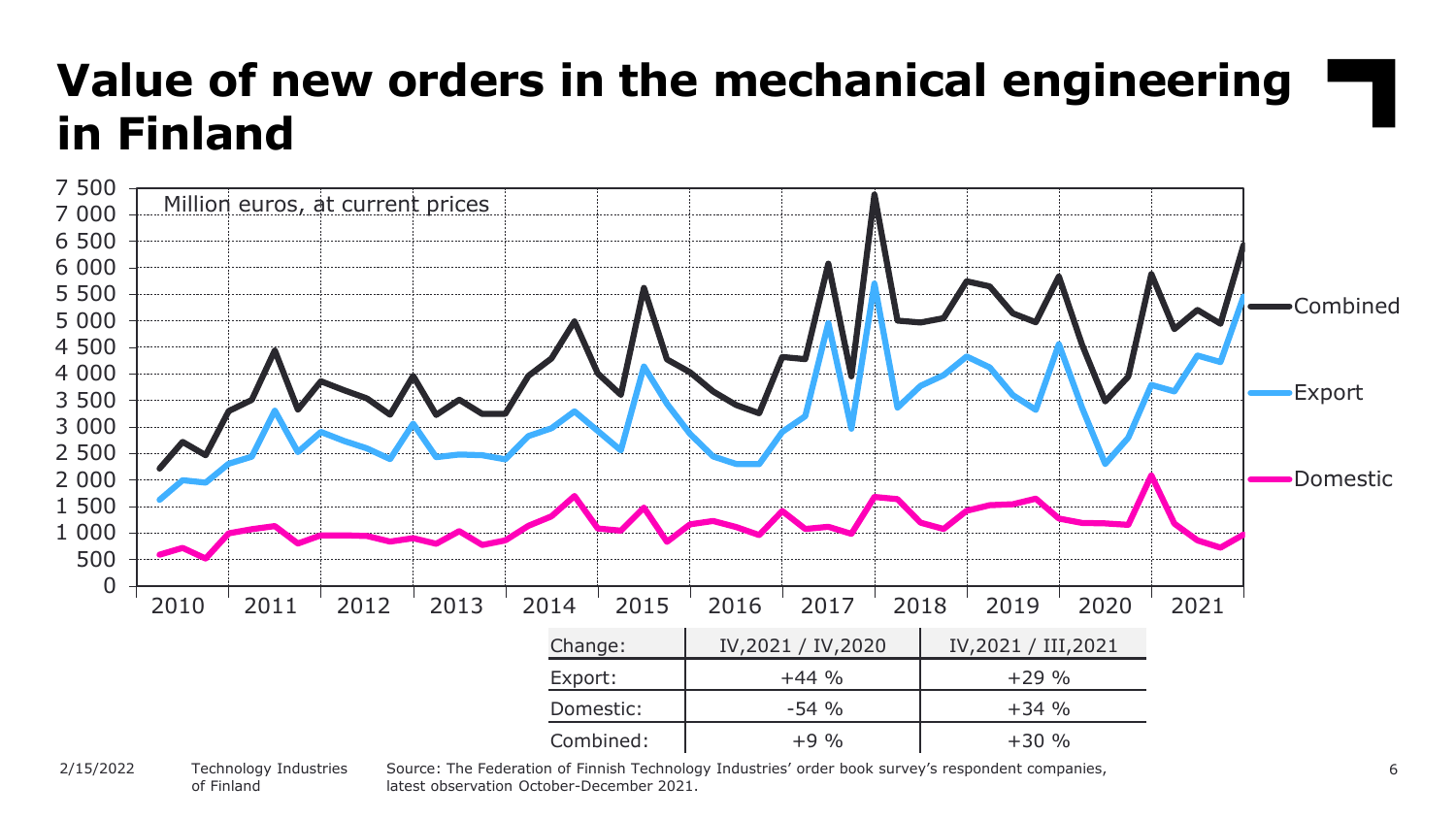### **Value of new orders in the mechanical engineering in Finland**



#### Technology Industries of Finland 2/15/2022

Source: The Federation of Finnish Technology Industries' order book survey's respondent companies, latest observation October-December 2021.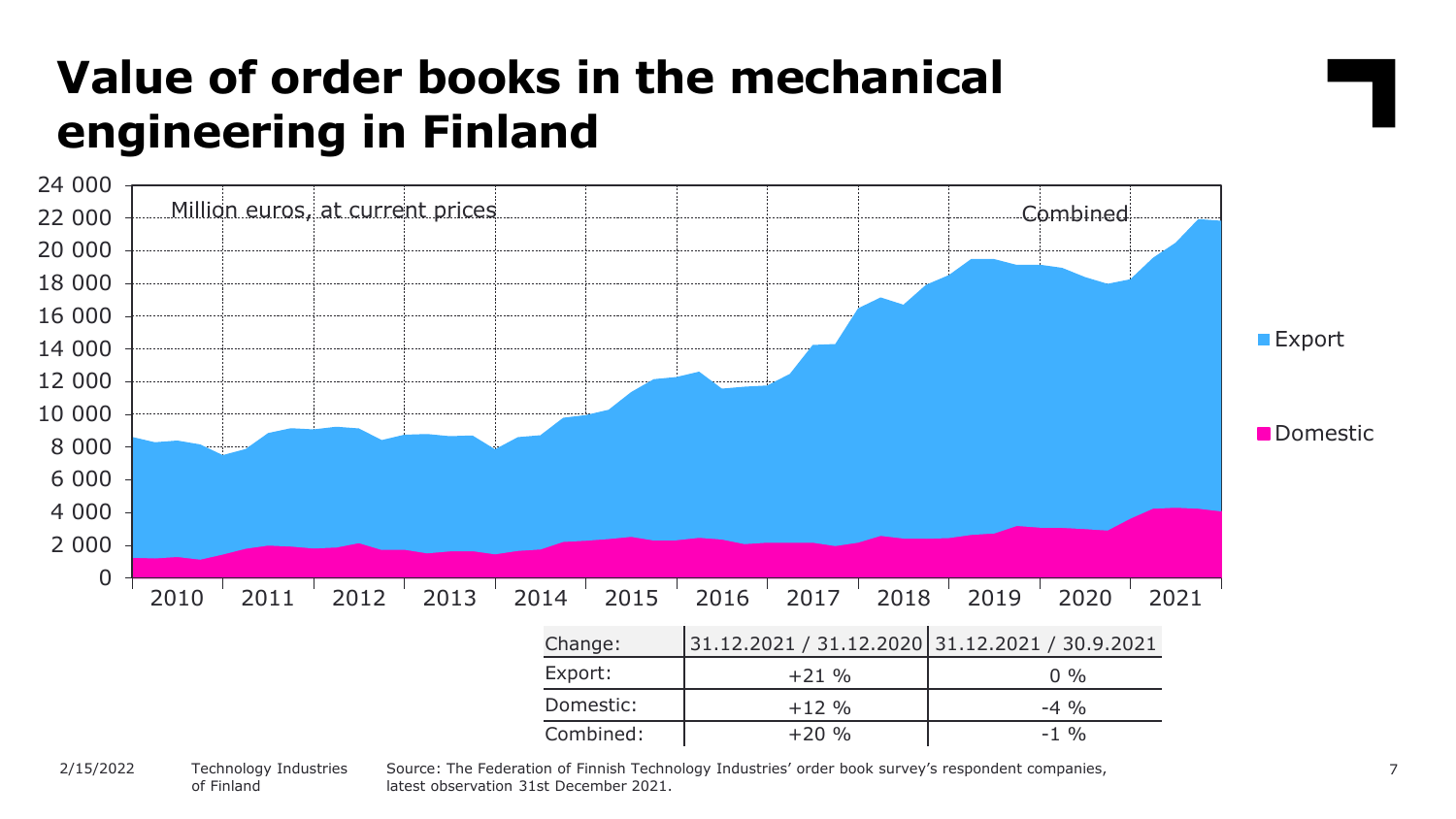### **Value of order books in the mechanical engineering in Finland**



Technology Industries of Finland 2/15/2022

Source: The Federation of Finnish Technology Industries' order book survey's respondent companies, latest observation 31st December 2021.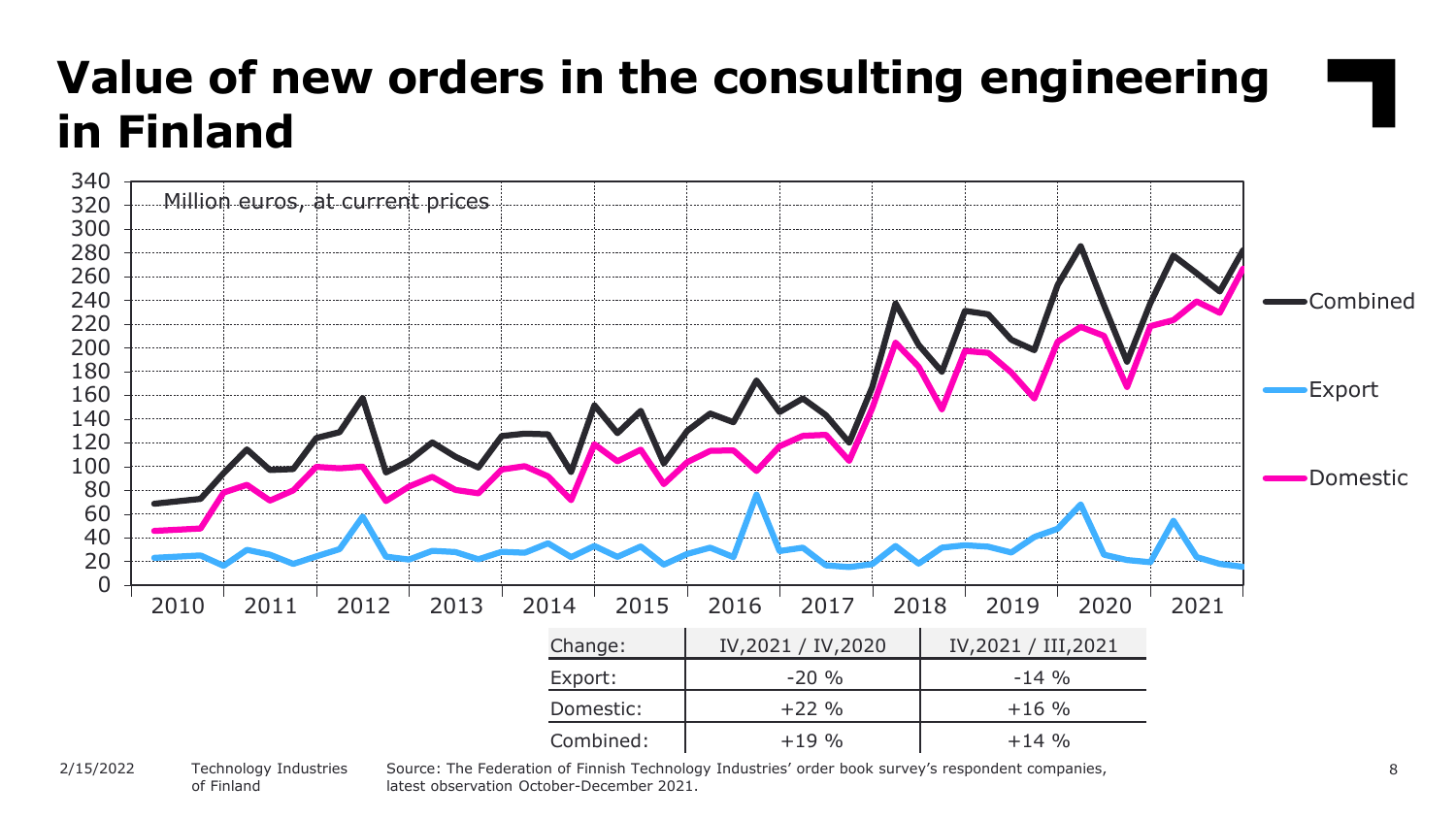## **Value of new orders in the consulting engineering in Finland**



#### Technology Industries of Finland 2/15/2022

Source: The Federation of Finnish Technology Industries' order book survey's respondent companies, latest observation October-December 2021.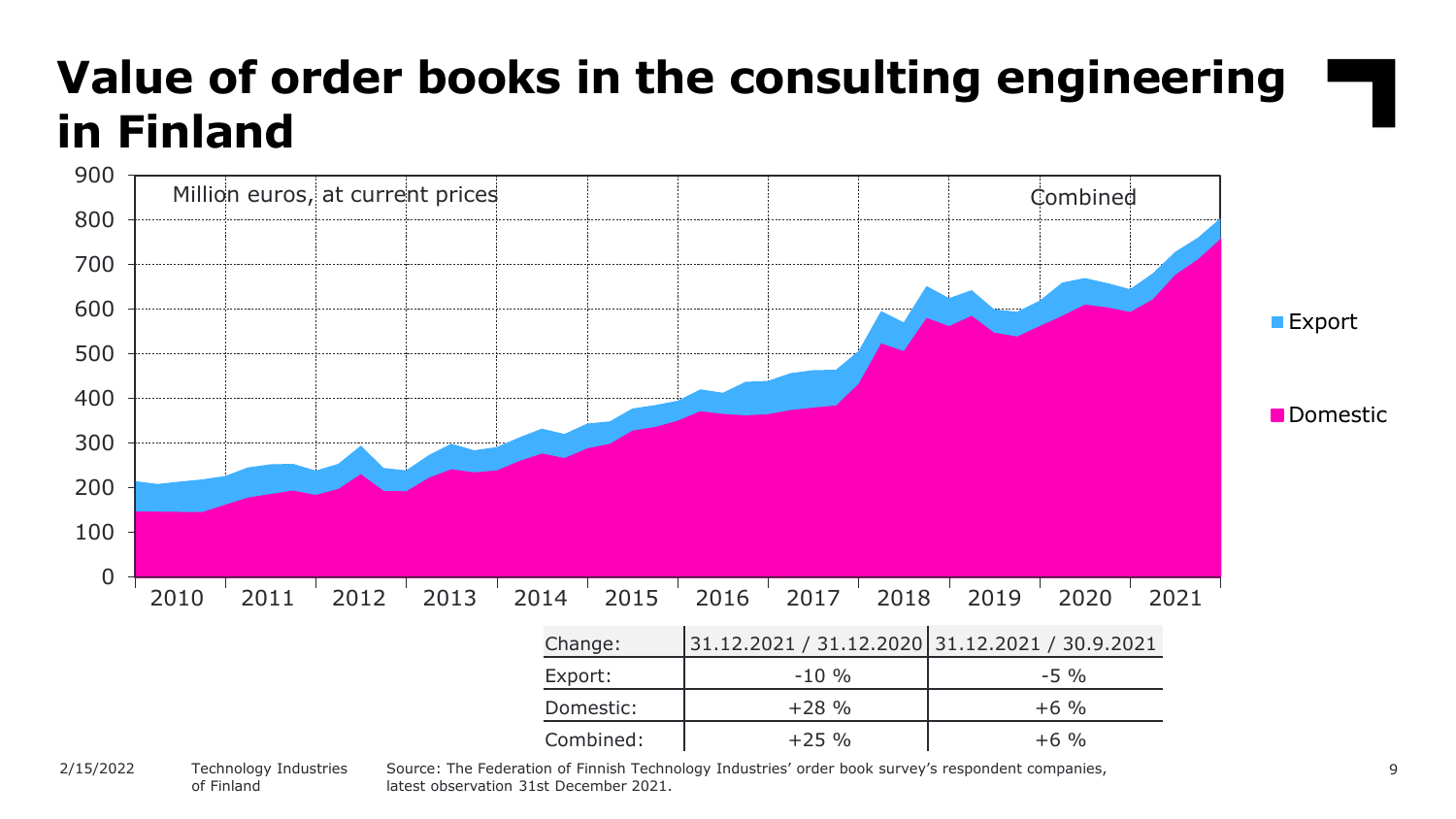## **Value of order books in the consulting engineering in Finland**



of Finland

Source: The Federation of Finnish Technology Industries' order book survey's respondent companies, latest observation 31st December 2021.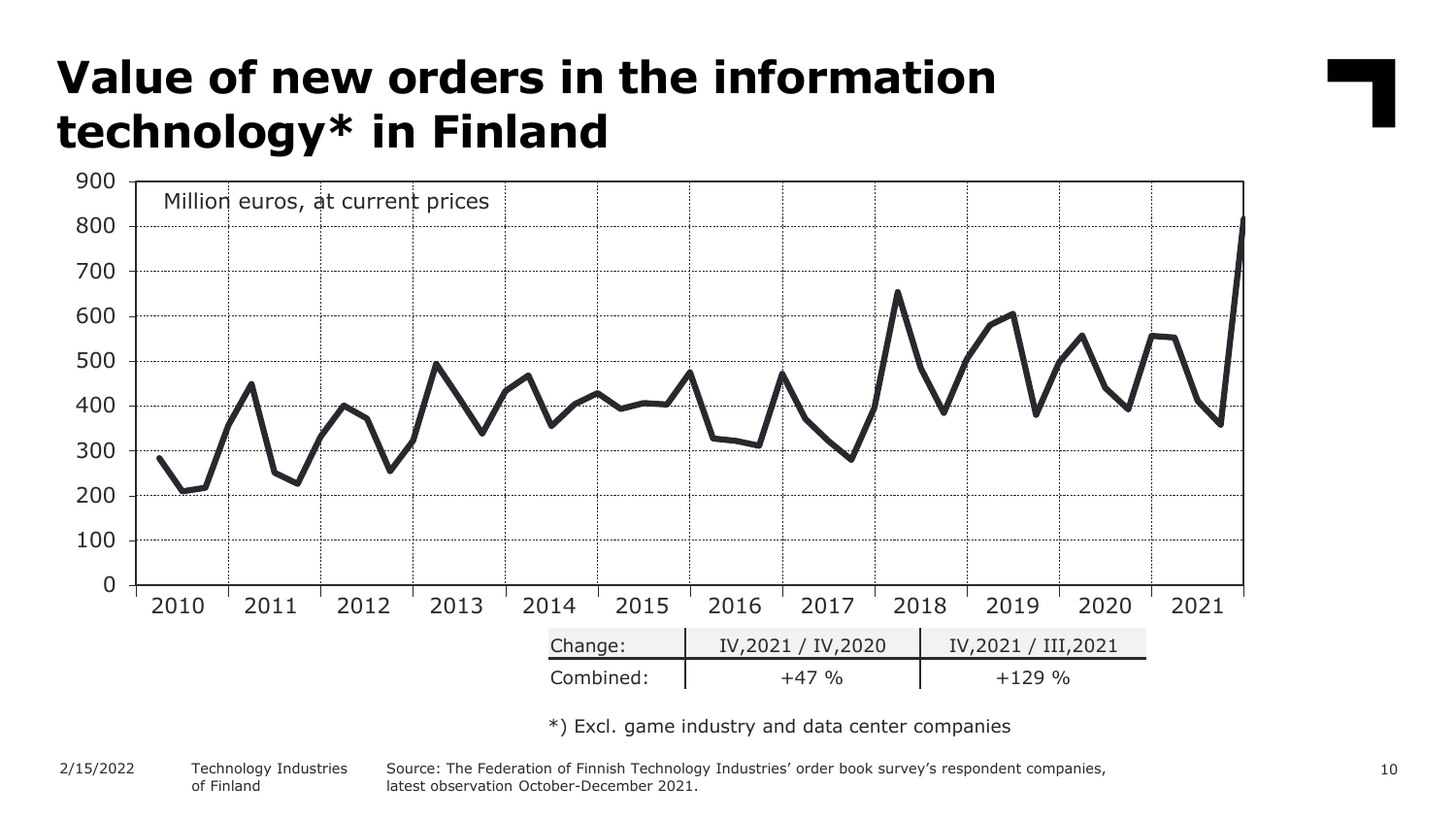### **Value of new orders in the information technology\* in Finland**



\*) Excl. game industry and data center companies

#### Source: The Federation of Finnish Technology Industries' order book survey's respondent companies, latest observation October-December 2021. Technology Industries of Finland 2/15/2022